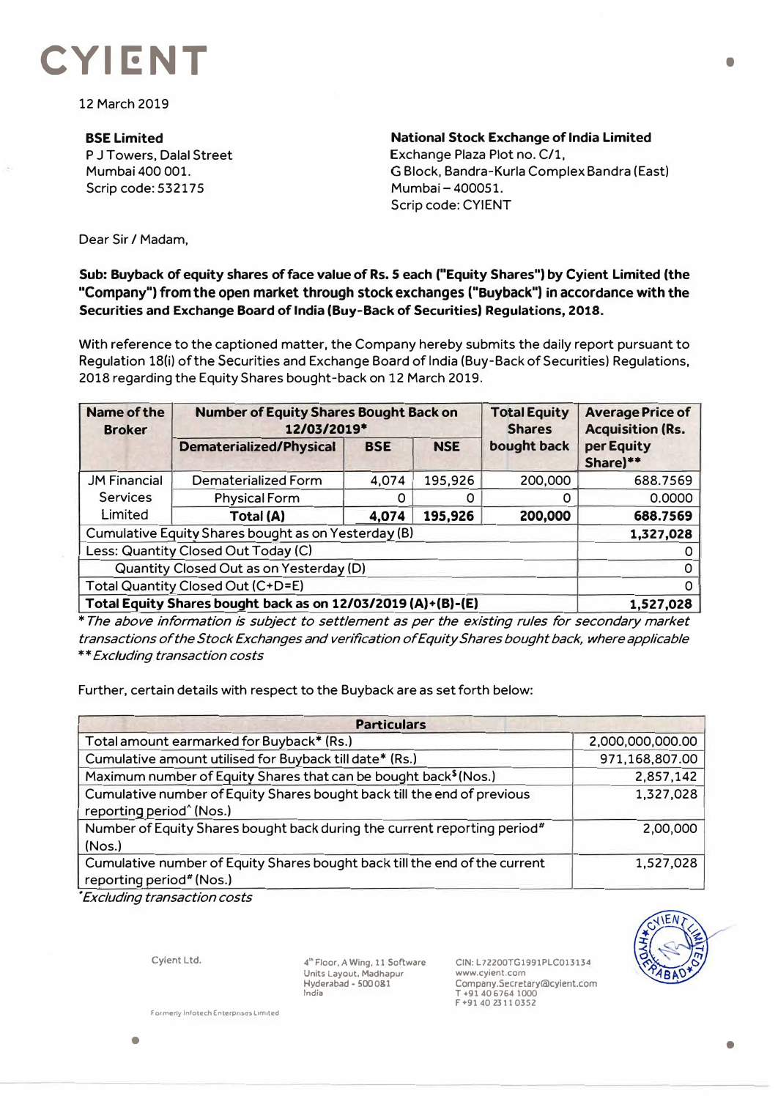## **CYIENT**

12 March 2019

**BSELimited**  P J Towers, Dalal Street Mumbai 400 001. Scrip code: 532175

**National Stock Exchange of lndia Limited**  Exchange Plaza Plot no. C/1, G Block, Bandra-Kurla Complex Sandra (East) Mumbai- 400051. Scrip code: CYIENT

Dear Sir / Madam,

## **Sub: Buyback of equity shares of face value of Rs. 5 each ("Equity Shares") by Cyient Limited (the "Company") from the open market through stock exchanges ("Buyback") in accordance with the Securities and Exchange Board of India (Buy-Back of Securities) Regulations, 2018.**

With reference to the captioned matter, the Company hereby submits the daily report pursuant to Regulation 18(i) of the Securities and Exchange Board of India (Buy-Back of Securities) Regulations, 2018 regarding the Equity Shares bought-back on 12 March 2019.

| <b>Name of the</b><br><b>Broker</b>                          | <b>Number of Equity Shares Bought Back on</b><br>12/03/2019* |            |            | <b>Total Equity</b><br><b>Shares</b> | <b>Average Price of</b><br><b>Acquisition (Rs.</b> |
|--------------------------------------------------------------|--------------------------------------------------------------|------------|------------|--------------------------------------|----------------------------------------------------|
|                                                              | <b>Dematerialized/Physical</b>                               | <b>BSE</b> | <b>NSE</b> | bought back                          | per Equity<br>Share)**                             |
| <b>JM Financial</b>                                          | Dematerialized Form                                          | 4,074      | 195,926    | 200,000                              | 688.7569                                           |
| <b>Services</b>                                              | <b>Physical Form</b>                                         |            | O          |                                      | 0.0000                                             |
| Limited                                                      | <b>Total (A)</b>                                             | 4,074      | 195,926    | 200,000                              | 688.7569                                           |
| Cumulative Equity Shares bought as on Yesterday (B)          |                                                              |            |            |                                      | 1,327,028                                          |
| Less: Quantity Closed Out Today (C)                          |                                                              |            |            |                                      |                                                    |
| Quantity Closed Out as on Yesterday (D)                      |                                                              |            |            |                                      |                                                    |
| Total Quantity Closed Out (C+D=E)                            |                                                              |            |            |                                      |                                                    |
| Total Equity Shares bought back as on 12/03/2019 (A)+(B)-(E) |                                                              |            |            |                                      | 1,527,028                                          |

*\* The above information is subject to settlement as per the existing rules for secondary market transactions of the Stock Exchanges and verification of Equity Shares bought back, where applicable \*\*Excluding transaction costs*

Further, certain details with respect to the Buyback are as set forth below:

| <b>Particulars</b>                                                                                     |                  |  |  |  |
|--------------------------------------------------------------------------------------------------------|------------------|--|--|--|
| Total amount earmarked for Buyback* (Rs.)                                                              | 2,000,000,000.00 |  |  |  |
| Cumulative amount utilised for Buyback till date* (Rs.)                                                | 971,168,807.00   |  |  |  |
| Maximum number of Equity Shares that can be bought back <sup>\$</sup> (Nos.)                           | 2,857,142        |  |  |  |
| Cumulative number of Equity Shares bought back till the end of previous                                | 1,327,028        |  |  |  |
| reporting period <sup>^</sup> (Nos.)                                                                   |                  |  |  |  |
| Number of Equity Shares bought back during the current reporting period#<br>(Nos.)                     | 2,00,000         |  |  |  |
|                                                                                                        |                  |  |  |  |
| Cumulative number of Equity Shares bought back till the end of the current<br>reporting period" (Nos.) | 1,527,028        |  |  |  |

• *Excluding transaction costs* 

**Cyient Ltd.** 

**<sup>4</sup>"' Floor, A Wing, l l Software Units Layout. Madhapur Hyderabad - SOO 081 India** 

**CIN: L722 00TG1991PLC013134 www.cyient.com Company.Secretary®cylent.com T •9140 6764 1000 F+914023l 10352** 



•